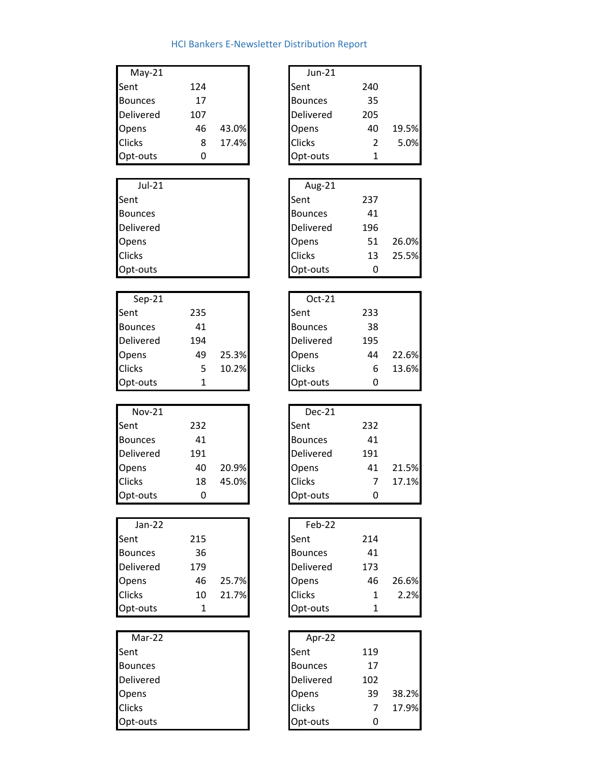## HCI Bankers E‐Newsletter Distribution Report

| $May-21$       |     |       | Jun-21           |     |       |
|----------------|-----|-------|------------------|-----|-------|
| Sent           | 124 |       | <b>Sent</b>      | 240 |       |
| <b>Bounces</b> | 17  |       | <b>Bounces</b>   | 35  |       |
| Delivered      | 107 |       | <b>Delivered</b> | 205 |       |
| Opens          | 46  | 43.0% | Opens            | 40  | 19.5% |
| <b>Clicks</b>  | 8   | 17.4% | <b>Clicks</b>    |     | 5.0%  |
| Opt-outs       |     |       | Opt-outs         |     |       |
|                |     |       |                  |     |       |

| Jul-21         | Aug-21         |     |
|----------------|----------------|-----|
| Sent           | Sent           | 237 |
| <b>Bounces</b> | <b>Bounces</b> | 41  |
| Delivered      | Delivered      | 196 |
| Opens          | Opens          | 51  |
| <b>Clicks</b>  | <b>Clicks</b>  | 13  |
| Opt-outs       | Opt-outs       | 0   |

| $Sep-21$         |     |       | $Oct-21$         |     |       |
|------------------|-----|-------|------------------|-----|-------|
| Sent             | 235 |       | Sent             | 233 |       |
| <b>Bounces</b>   | 41  |       | <b>Bounces</b>   | 38  |       |
| <b>Delivered</b> | 194 |       | <b>Delivered</b> | 195 |       |
| Opens            | 49  | 25.3% | Opens            | 44  | 22.6% |
| <b>Clicks</b>    | 5   | 10.2% | <b>Clicks</b>    | 6   | 13.6% |
| Opt-outs         |     |       | Opt-outs         |     |       |

| $Nov-21$       |     |       | $Dec-21$         |     |
|----------------|-----|-------|------------------|-----|
| Sent           | 232 |       | Sent             | 232 |
| <b>Bounces</b> | 41  |       | <b>Bounces</b>   | 41  |
| Delivered      | 191 |       | <b>Delivered</b> | 191 |
| Opens          | 40  | 20.9% | Opens            | 41  |
| <b>Clicks</b>  | 18  | 45.0% | <b>Clicks</b>    | 7   |
| Opt-outs       |     |       | Opt-outs         |     |

| $Jan-22$         |     |       | Feb-22         |     |
|------------------|-----|-------|----------------|-----|
| Sent             | 215 |       | Sent           | 214 |
| <b>Bounces</b>   | 36  |       | <b>Bounces</b> | 41  |
| <b>Delivered</b> | 179 |       | Delivered      | 173 |
| Opens            | 46  | 25.7% | Opens          | 46  |
| <b>Clicks</b>    | 10  | 21.7% | <b>Clicks</b>  | 1   |
| Opt-outs         |     |       | Opt-outs       | 1   |

| Mar-22         | Apr-22               |
|----------------|----------------------|
| Sent           | 119<br>Sent          |
| <b>Bounces</b> | <b>Bounces</b><br>17 |
| Delivered      | Delivered<br>102     |
| Opens          | 39<br>Opens          |
| <b>Clicks</b>  | <b>Clicks</b><br>7   |
| Opt-outs       | Opt-outs             |

| $Jun-21$       |               |       |
|----------------|---------------|-------|
| Sent           | 240           |       |
| <b>Bounces</b> | 35            |       |
| Delivered      | 205           |       |
| Opens          | 40            | 19.5% |
| <b>Clicks</b>  | $\mathcal{P}$ | 5.0%  |
| Opt-outs       | 1             |       |

| Jul-21         | Aug-21           |     |       |
|----------------|------------------|-----|-------|
| Sent           | Sent             | 237 |       |
| <b>Bounces</b> | <b>Bounces</b>   | 41  |       |
| Delivered      | <b>Delivered</b> | 196 |       |
| Opens          | Opens            | 51  | 26.0% |
| <b>Clicks</b>  | <b>Clicks</b>    | 13  | 25.5% |
| Opt-outs       | Opt-outs         |     |       |

| $Oct-21$       |     |       |
|----------------|-----|-------|
| Sent           | 233 |       |
| <b>Bounces</b> | 38  |       |
| Delivered      | 195 |       |
| Opens          | 44  | 22.6% |
| <b>Clicks</b>  | 6   | 13.6% |
| Opt-outs       | ი   |       |

| <b>Nov-21</b>  |     |       | Dec-21           |     |       |
|----------------|-----|-------|------------------|-----|-------|
| Sent           | 232 |       | Sent             | 232 |       |
| <b>Bounces</b> | 41  |       | <b>Bounces</b>   | 41  |       |
| Delivered      | 191 |       | <b>Delivered</b> | 191 |       |
| Opens          | 40  | 20.9% | Opens            | 41  | 21.5% |
| <b>Clicks</b>  | 18  | 45.0% | <b>Clicks</b>    |     | 17.1% |
| Opt-outs       | O   |       | Opt-outs         |     |       |

| $Jan-22$       |     |       | Feb-22           |     |       |
|----------------|-----|-------|------------------|-----|-------|
| Sent           | 215 |       | Sent             | 214 |       |
| <b>Bounces</b> | 36  |       | <b>Bounces</b>   | 41  |       |
| Delivered      | 179 |       | <b>Delivered</b> | 173 |       |
| Opens          | 46  | 25.7% | Opens            | 46  | 26.6% |
| <b>Clicks</b>  | 10  | 21.7% | <b>Clicks</b>    |     | 2.2%  |
| Opt-outs       |     |       | Opt-outs         |     |       |

| Mar-22         | Apr-22           |     |       |
|----------------|------------------|-----|-------|
| Sent           | Sent             | 119 |       |
| <b>Bounces</b> | <b>Bounces</b>   | 17  |       |
| Delivered      | <b>Delivered</b> | 102 |       |
| Opens          | Opens            | 39  | 38.2% |
| Clicks         | <b>Clicks</b>    |     | 17.9% |
| Opt-outs       | Opt-outs         |     |       |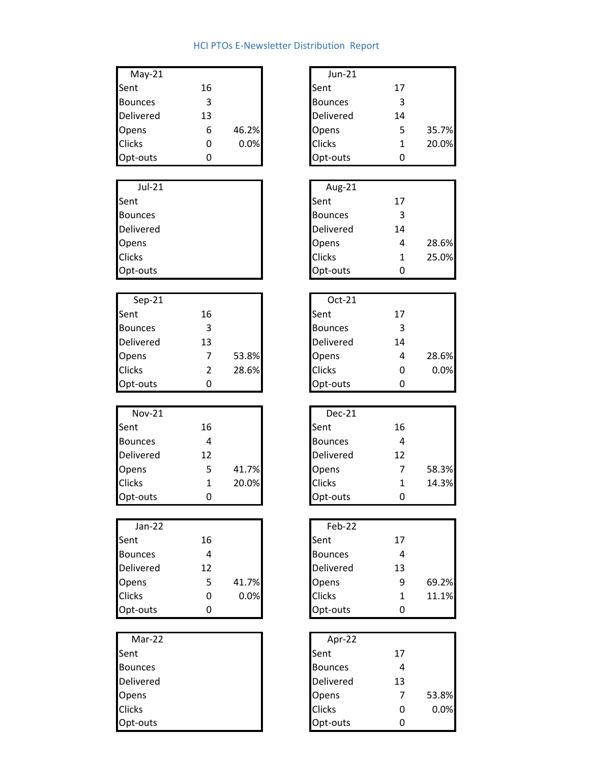## HCI PTOs E‐Newsletter Distribution Report

| $May-21$         |    |       | Jun-21           |    |
|------------------|----|-------|------------------|----|
| Sent             | 16 |       | Sent             | 17 |
| <b>Bounces</b>   | 3  |       | <b>Bounces</b>   | 3  |
| <b>Delivered</b> | 13 |       | <b>Delivered</b> | 14 |
| Opens            | 6  | 46.2% | Opens            | 5  |
| <b>Clicks</b>    |    | 0.0%  | <b>Clicks</b>    | 1  |
| Opt-outs         |    |       | Opt-outs         |    |

| Jul-21         | Aug-21              |
|----------------|---------------------|
| Sent           | Sent<br>17          |
| <b>Bounces</b> | 3<br><b>Bounces</b> |
| Delivered      | Delivered<br>14     |
| Opens          | Opens<br>4          |
| <b>Clicks</b>  | <b>Clicks</b><br>1  |
| Opt-outs       | Opt-outs            |

| $Sep-21$         |    |       | $Oct-21$         |    |
|------------------|----|-------|------------------|----|
| Sent             | 16 |       | Sent             | 17 |
| <b>Bounces</b>   |    |       | <b>Bounces</b>   | 3  |
| <b>Delivered</b> | 13 |       | <b>Delivered</b> | 14 |
| Opens            |    | 53.8% | Opens            | 4  |
| <b>Clicks</b>    |    | 28.6% | <b>Clicks</b>    |    |
| Opt-outs         |    |       | Opt-outs         |    |

| <b>Nov-21</b>    |    |       | Dec-21         |    |
|------------------|----|-------|----------------|----|
| Sent             | 16 |       | Sent           | 16 |
| <b>Bounces</b>   |    |       | <b>Bounces</b> | 4  |
| <b>Delivered</b> | 12 |       | Delivered      | 12 |
| Opens            |    | 41.7% | Opens          | 7  |
| <b>Clicks</b>    |    | 20.0% | <b>Clicks</b>  | 1  |
| Opt-outs         |    |       | Opt-outs       |    |

| $Jan-22$         |    |       | Feb-22           |    |
|------------------|----|-------|------------------|----|
| Sent             | 16 |       | Sent             | 17 |
| <b>Bounces</b>   |    |       | <b>Bounces</b>   | 4  |
| <b>Delivered</b> | 12 |       | <b>Delivered</b> | 13 |
| Opens            |    | 41.7% | Opens            | 9  |
| <b>Clicks</b>    |    | 0.0%  | <b>Clicks</b>    | 1  |
| Opt-outs         |    |       | Opt-outs         |    |

| Mar-22         | Apr-22           |    |       |
|----------------|------------------|----|-------|
| Sent           | Sent             | 17 |       |
| <b>Bounces</b> | <b>Bounces</b>   |    |       |
| Delivered      | <b>Delivered</b> | 13 |       |
| Opens          | Opens            |    | 53.8% |
| <b>Clicks</b>  | <b>Clicks</b>    |    | 0.0%  |
| Opt-outs       | Opt-outs         |    |       |

| $May-21$       |                |       | <b>Jun-21</b>  |                |       |
|----------------|----------------|-------|----------------|----------------|-------|
| Sent           | 16             |       | Sent           | 17             |       |
| <b>Bounces</b> | 3              |       | <b>Bounces</b> | 3              |       |
| Delivered      | 13             |       | Delivered      | 14             |       |
| Opens          | 6              | 46.2% | Opens          | 5              | 35.7% |
| Clicks         | 0              | 0.0%  | Clicks         | 1              | 20.0% |
| Opt-outs       | 0              |       | Opt-outs       | 0              |       |
|                |                |       |                |                |       |
| Jul-21         |                |       | Aug-21         |                |       |
| Sent           |                |       | Sent           | 17             |       |
| <b>Bounces</b> |                |       | <b>Bounces</b> | 3              |       |
| Delivered      |                |       | Delivered      | 14             |       |
| Opens          |                |       | Opens          | 4              | 28.6% |
| Clicks         |                |       | Clicks         | 1              | 25.0% |
| Opt-outs       |                |       | Opt-outs       | 0              |       |
|                |                |       |                |                |       |
| $Sep-21$       |                |       | Oct-21         |                |       |
| Sent           | 16             |       | Sent           | 17             |       |
| <b>Bounces</b> | 3              |       | <b>Bounces</b> | 3              |       |
| Delivered      | 13             |       | Delivered      | 14             |       |
| Opens          | $\overline{7}$ | 53.8% | Opens          | 4              | 28.6% |
| Clicks         | $\overline{2}$ | 28.6% | Clicks         | 0              | 0.0%  |
| Opt-outs       | 0              |       | Opt-outs       | 0              |       |
|                |                |       |                |                |       |
| <b>Nov-21</b>  |                |       | <b>Dec-21</b>  |                |       |
| Sent           | 16             |       | Sent           | 16             |       |
| <b>Bounces</b> | 4              |       | <b>Bounces</b> | 4              |       |
| Delivered      | 12             |       | Delivered      | 12             |       |
| Opens          | 5              | 41.7% | Opens          | 7              | 58.3% |
| Clicks         | $\mathbf{1}$   | 20.0% | Clicks         | $\mathbf{1}$   | 14.3% |
| Opt-outs       | 0              |       | Opt-outs       | 0              |       |
|                |                |       |                |                |       |
| $Jan-22$       |                |       | Feb-22         |                |       |
| Sent           | 16             |       | Sent           | 17             |       |
| <b>Bounces</b> | 4              |       | <b>Bounces</b> | 4              |       |
| Delivered      | 12             |       | Delivered      | 13             |       |
| Opens          | 5              | 41.7% | Opens          | 9              | 69.2% |
| Clicks         | 0              | 0.0%  | <b>Clicks</b>  | $\mathbf{1}$   | 11.1% |
| Opt-outs       | 0              |       | Opt-outs       | 0              |       |
|                |                |       |                |                |       |
| Mar-22         |                |       | Apr-22         |                |       |
| Sent           |                |       | Sent           | 17             |       |
| <b>Bounces</b> |                |       | <b>Bounces</b> | 4              |       |
| Delivered      |                |       | Delivered      | 13             |       |
|                |                |       |                |                |       |
| Opens          |                |       | Opens          | $\overline{7}$ | 53.8% |